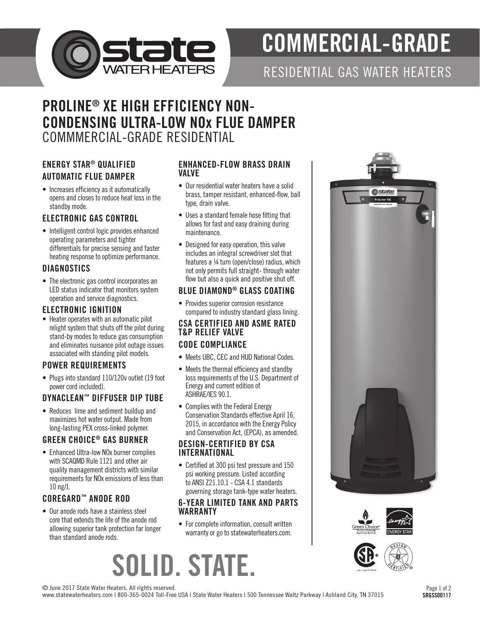

# COMMERCIAL-GRADE

RESIDENTIAL GAS WATER HEATERS

# PROLINE® XE HIGH EFFICIENCY NON-CONDENSING ULTRA-LOW NOx FLUE DAMPER COMMMERCIAL-GRADE RESIDENTIAL

# ENERGY STAR® QUALIFIED AUTOMATIC FLUE DAMPER

• Increases efficiency as it automatically opens and closes to reduce heat loss in the standby mode.

### ELECTRONIC GAS CONTROL

• Intelligent control logic provides enhanced operating parameters and tighter differentials for precise sensing and faster heating response to optimize performance.

#### **DIAGNOSTICS**

• The electronic gas control incorporates an LED status indicator that monitors system operation and service diagnostics.

#### ELECTRONIC IGNITION

• Heater operates with an automatic pilot relight system that shuts off the pilot during stand-by modes to reduce gas consumption and eliminates nuisance pilot outage issues associated with standing pilot models.

## POWER REQUIREMENTS

• Plugs into standard 110/120v outlet (19 foot power cord included).

## DYNACLEAN™ DIFFUSER DIP TUBE

• Reduces lime and sediment buildup and maximizes hot water output. Made from long-lasting PEX cross-linked polymer.

### GREEN CHOICE® GAS BURNER

• Enhanced Ultra-low NOx burner complies with SCAQMD Rule 1121 and other air quality management districts with similar requirements for NOx emissions of less than 10 ng/J.

## COREGARD™ ANODE ROD

• Our anode rods have a stainless steel core that extends the life of the anode rod allowing superior tank protection far longer than standard anode rods.

#### ENHANCED-FLOW BRASS DRAIN VALVE

- Our residential water heaters have a solid brass, tamper resistant, enhanced-flow, ball type, drain valve.
- Uses a standard female hose fitting that allows for fast and easy draining during maintenance.
- Designed for easy operation, this valve includes an integral screwdriver slot that features a ¼ turn (open/close) radius, which not only permits full straight- through water flow but also a quick and positive shut off.

#### BLUE DIAMOND® GLASS COATING

• Provides superior corrosion resistance compared to industry standard glass lining.

#### CSA CERTIFIED AND ASME RATED T&P RELIEF VALVE CODE COMPLIANCE

- Meets UBC, CEC and HUD National Codes.
- Meets the thermal efficiency and standby loss requirements of the U.S. Department of Energy and current edition of ASHRAE/IES 90.1.
- Complies with the Federal Energy Conservation Standards effective April 16, 2015, in accordance with the Energy Policy and Conservation Act, (EPCA), as amended.

#### DESIGN-CERTIFIED BY CSA INTERNATIONAL

• Certified at 300 psi test pressure and 150 psi working pressure. Listed according to ANSI Z21.10.1 - CSA 4.1 standards governing storage tank-type water heaters.

#### 6-YEAR LIMITED TANK AND PARTS WARRANTY

• For complete information, consult written warranty or go to statewaterheaters.com.

# SOLID. STATE.







© June 2017 State Water Heaters. All rights reserved.

www.statewaterheaters.com | 800-365-0024 Toll-Free USA | State Water Heaters | 500 Tennessee Waltz Parkway | Ashland City, TN 37015